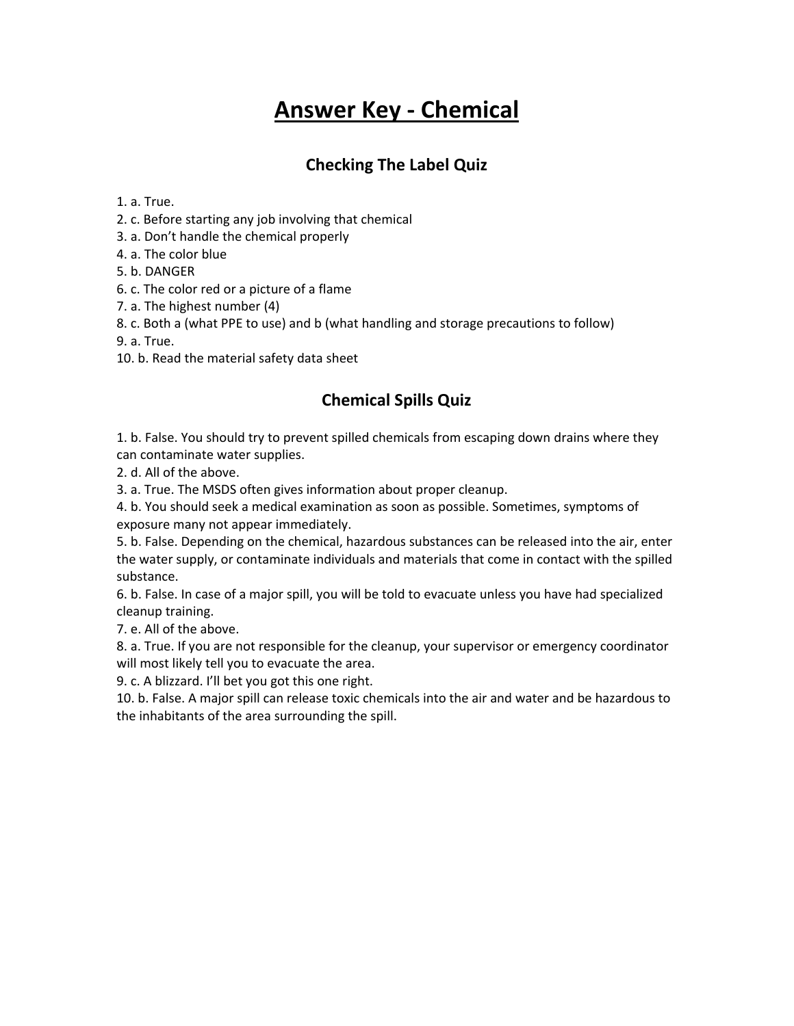# **Answer Key - Chemical**

## **Checking The Label Quiz**

1. a. True.

- 2. c. Before starting any job involving that chemical
- 3. a. Don't handle the chemical properly
- 4. a. The color blue
- 5. b. DANGER
- 6. c. The color red or a picture of a flame
- 7. a. The highest number (4)
- 8. c. Both a (what PPE to use) and b (what handling and storage precautions to follow)
- 9. a. True.
- 10. b. Read the material safety data sheet

### **Chemical Spills Quiz**

1. b. False. You should try to prevent spilled chemicals from escaping down drains where they can contaminate water supplies.

2. d. All of the above.

3. a. True. The MSDS often gives information about proper cleanup.

4. b. You should seek a medical examination as soon as possible. Sometimes, symptoms of exposure many not appear immediately.

5. b. False. Depending on the chemical, hazardous substances can be released into the air, enter the water supply, or contaminate individuals and materials that come in contact with the spilled substance.

6. b. False. In case of a major spill, you will be told to evacuate unless you have had specialized cleanup training.

7. e. All of the above.

8. a. True. If you are not responsible for the cleanup, your supervisor or emergency coordinator will most likely tell you to evacuate the area.

9. c. A blizzard. I'll bet you got this one right.

10. b. False. A major spill can release toxic chemicals into the air and water and be hazardous to the inhabitants of the area surrounding the spill.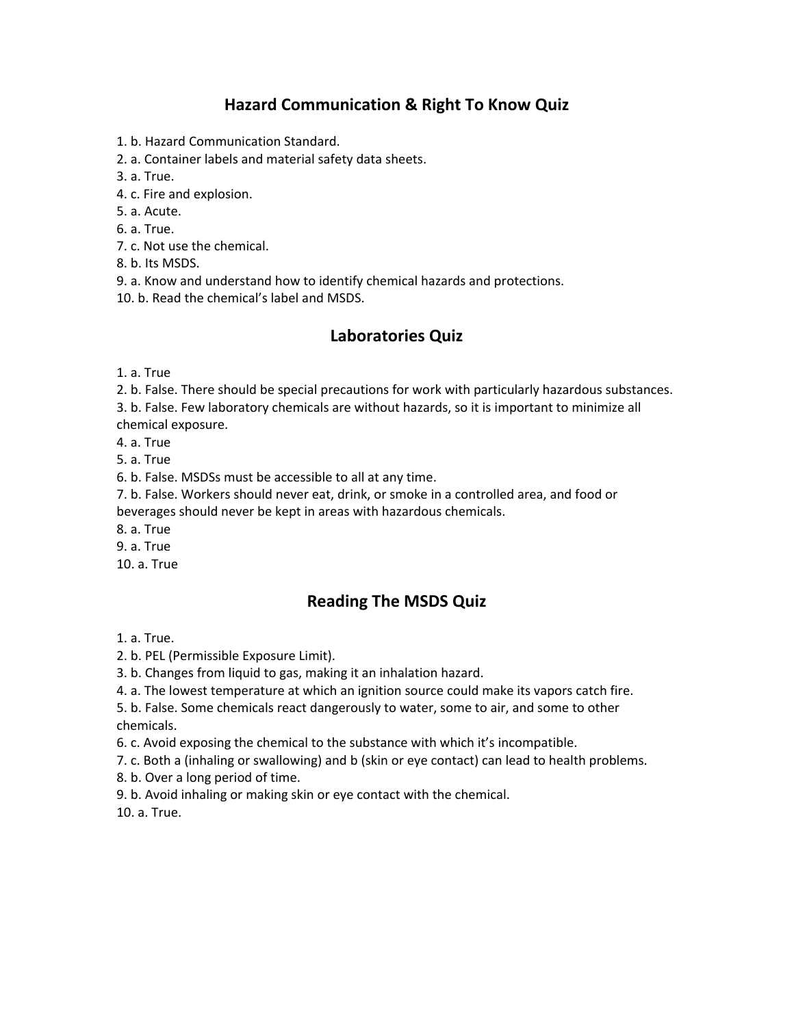### **Hazard Communication & Right To Know Quiz**

- 1. b. Hazard Communication Standard.
- 2. a. Container labels and material safety data sheets.
- 3. a. True.
- 4. c. Fire and explosion.
- 5. a. Acute.
- 6. a. True.
- 7. c. Not use the chemical.
- 8. b. Its MSDS.
- 9. a. Know and understand how to identify chemical hazards and protections.
- 10. b. Read the chemical's label and MSDS.

#### **Laboratories Quiz**

- 1. a. True
- 2. b. False. There should be special precautions for work with particularly hazardous substances.
- 3. b. False. Few laboratory chemicals are without hazards, so it is important to minimize all chemical exposure.
- 4. a. True
- 5. a. True
- 
- 6. b. False. MSDSs must be accessible to all at any time.
- 7. b. False. Workers should never eat, drink, or smoke in a controlled area, and food or
- beverages should never be kept in areas with hazardous chemicals.
- 8. a. True
- 9. a. True
- 10. a. True

### **Reading The MSDS Quiz**

- 1. a. True.
- 2. b. PEL (Permissible Exposure Limit).
- 3. b. Changes from liquid to gas, making it an inhalation hazard.
- 4. a. The lowest temperature at which an ignition source could make its vapors catch fire.
- 5. b. False. Some chemicals react dangerously to water, some to air, and some to other chemicals.
- 6. c. Avoid exposing the chemical to the substance with which it's incompatible.
- 7. c. Both a (inhaling or swallowing) and b (skin or eye contact) can lead to health problems.
- 8. b. Over a long period of time.
- 9. b. Avoid inhaling or making skin or eye contact with the chemical.
- 10. a. True.